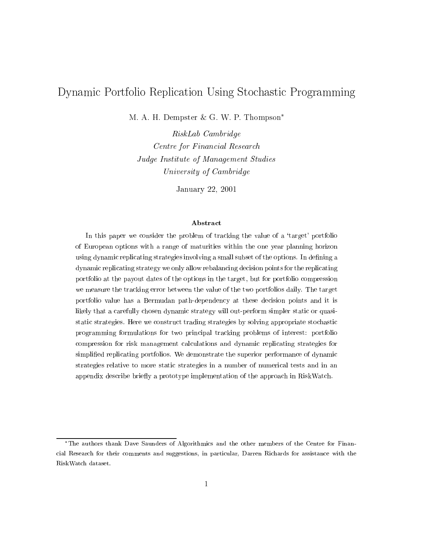# Dynamic Portfolio Replication Using Stochastic Programming

M. A. H. Dempster & G. W. P. Thompson

RiskLab Cambridge Centre for Financial Research Judge Institute of Management Studies University of Cambridge

January 22, 2001

### Abstract

In this paper we consider the problem of tracking the value of <sup>a</sup> `target' portfolio of European options with <sup>a</sup> range of maturities within the one year planning horizon using dynamic replicating strategies involving a small subset of the options. In dening a dynamic replicating strategy we only allow rebalancing decision points for the replicatingportfolio at the payout dates of the options in the target, but for portfolio compressionwe measure the tracking error between the value of the two portfolios daily. The target portfolio value has <sup>a</sup> Bermudan path-dependency at these decision points and it is likely that a carefully chosen dynamic strategy will out-perform simpler static or quasistatic strategies. Here we construct trading strategies by solving appropriate stochastic programming formulations for two principal tracking problems of interest: portfolio compression for risk management calculations and dynamic replicating strategies for simplied replicating portfolios. We demonstrate the superior performance of dynamic strategies relative to more static strategies in <sup>a</sup> number of numerical tests and in an appendix describe briefly a prototype implementation of the approach in RiskWatch.

The authors thank Dave Saunders of Algorithmics and the other members of the Centre for Financial Research for their comments and suggestions, in particular, Darren Richards for assistance with the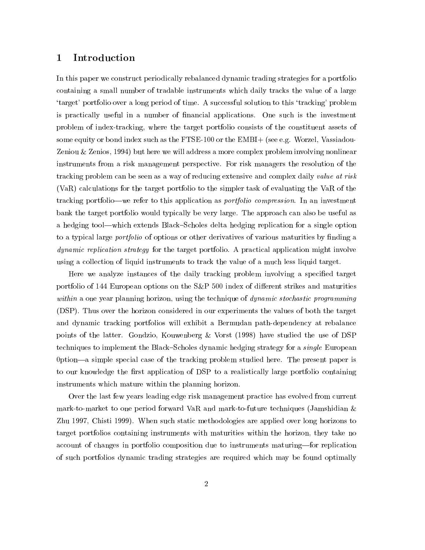### $\mathbf 1$ **Introduction**

In this paper we construct periodically rebalanced dynamic trading strategies for a portfolio containing a small number of tradable instruments which daily tracks the value of a large `target' portfolio over a long period of time. A successful solution to this `tracking' problem is practically useful in a number of financial applications. One such is the investment problem of index-tracking, where the target portfolio consists of the constituent assets of some equity or bond index such as the FTSE-100 or the EMBI+ (see e.g. Worzel, Vassiadou-Zeniou & Zenios, 1994) but here we will address a more complex problem involving nonlinear instruments from a risk management perspective. For risk managers the resolution of the tracking problem can be seen as a way of reducing extensive and complex daily value at risk (VaR) calculations for the target portfolio to the simpler task of evaluating the VaR of the tracking portfolio—we refer to this application as *portfolio compression*. In an investment bank the target portfolio would typically be very large. The approach can also be useful as a hedging tool—which extends Black–Scholes delta hedging replication for a single option to a typical large *portfolio* of options or other derivatives of various maturities by finding a dynamic replication strategy for the target portfolio. A practical application might involve using a collection of liquid instruments to track the value of a much less liquid target.

Here we analyze instances of the daily tracking problem involving a specied target portfolio of 144 European options on the  $S\&P$  500 index of different strikes and maturities within a one year planning horizon, using the technique of *dynamic stochastic programming* (DSP). Thus over the horizon considered in our experiments the values of both the target and dynamic tracking portfolios will exhibit a Bermudan path-dependency at rebalance points of the latter. Gondzio, Kouwenberg & Vorst (1998) have studied the use of DSP techniques to implement the Black-Scholes dynamic hedging strategy for a *single* European 0ption|a simple special case of the tracking problem studied here. The present paper is to our knowledge the first application of DSP to a realistically large portfolio containing instruments which mature within the planning horizon.

Over the last few years leading edge risk management practice has evolved from current mark-to-market to one period forward VaR and mark-to-future techniques (Jamshidian & Zhu 1997, Chisti 1999). When such static methodologies are applied over long horizons to target portfolios containing instruments with maturities within the horizon, they take no account of changes in portfolio composition due to instruments maturing—for replication of such portfolios dynamic trading strategies are required which may be found optimally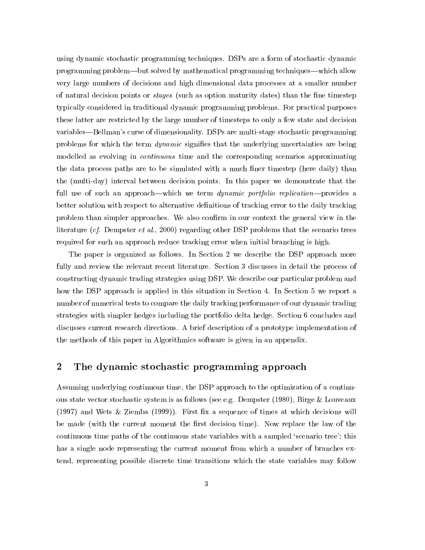using dynamic stochastic programming techniques. DSPs are a form of stochastic dynamic programming problem—but solved by mathematical programming techniques—which allow very large numbers of decisions and high dimensional data processes at a smaller number of natural decision points or *stages* (such as option maturity dates) than the fine timestep typically considered in traditional dynamic programming problems. For practical purposes these latter are restricted by the large number of timesteps to only a few state and decision variables—Bellman's curse of dimensionality. DSPs are multi-stage stochastic programming problems for which the term *dynamic* signifies that the underlying uncertainties are being modelled as evolving in *continuous* time and the corresponding scenarios approximating the data process paths are to be simulated with a much finer timestep (here daily) than the (multi-day) interval between decision points. In this paper we demonstrate that the full use of such an approach—which we term *dynamic portfolio replication*—provides a better solution with respect to alternative definitions of tracking error to the daily tracking problem than simpler approaches. We also confirm in our context the general view in the literature (cf. Dempster et al., 2000) regarding other DSP problems that the scenario trees required for such an approach reduce tracking error when initial branching is high.

The paper is organized as follows. In Section 2 we describe the DSP approach more fully and review the relevant recent literature. Section 3 discusses in detail the process of constructing dynamic trading strategies using DSP. We describe our particular problem and how the DSP approach is applied in this situation in Section 4. In Section 5 we report a number of numerical tests to compare the daily tracking performance of our dynamic trading strategies with simpler hedges including the portfolio delta hedge. Section 6 concludes and discusses current research directions. A brief description of a prototype implementation of the methods of this paper in Algorithmics software is given in an appendix.

## 2 The dynamic stochastic programming approach

Assuming underlying continuous time, the DSP approach to the optimization of a continuous state vector stochastic system is as follows (see e.g. Dempster (1980), Birge & Louveaux  $(1997)$  and Wets & Ziemba  $(1999)$ ). First fix a sequence of times at which decisions will be made (with the current moment the first decision time). Now replace the law of the continuous time paths of the continuous state variables with a sampled 'scenario tree'; this has a single node representing the current moment from which a number of branches extend, representing possible discrete time transitions which the state variables may follow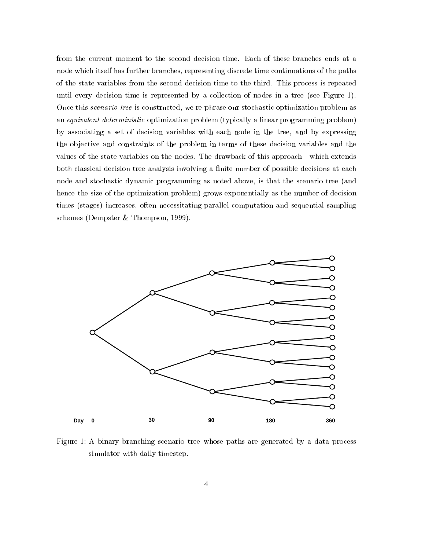from the current moment to the second decision time. Each of these branches ends at a node which itself has further branches, representing discrete time continuations of the paths of the state variables from the second decision time to the third. This process is repeated until every decision time is represented by a collection of nodes in a tree (see Figure 1). Once this scenario tree is constructed, we re-phrase our stochastic optimization problem as an equivalent deterministic optimization problem (typically a linear programming problem) by associating a set of decision variables with each node in the tree, and by expressing the ob jective and constraints of the problem in terms of these decision variables and the values of the state variables on the nodes. The drawback of this approach—which extends both classical decision tree analysis involving a finite number of possible decisions at each node and stochastic dynamic programming as noted above, is that the scenario tree (and hence the size of the optimization problem) grows exponentially as the number of decision times (stages) increases, often necessitating parallel computation and sequential sampling schemes (Dempster & Thompson, 1999).



Figure 1: A binary branching scenario tree whose paths are generated by a data process simulator with daily timestep.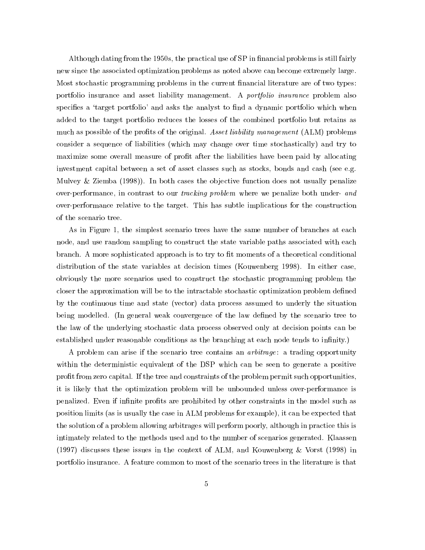Although dating from the 1950s, the practical use of  $SP$  in financial problems is still fairly new since the associated optimization problems as noted above can become extremely large. Most stochastic programming problems in the current nancial literature are of two types: portfolio insurance and asset liability management. A portfolio insurance problem also specifies a 'target portfolio' and asks the analyst to find a dynamic portfolio which when added to the target portfolio reduces the losses of the combined portfolio but retains as much as possible of the profits of the original. Asset liability management (ALM) problems consider a sequence of liabilities (which may change over time stochastically) and try to maximize some overall measure of profit after the liabilities have been paid by allocating investment capital between a set of asset classes such as stocks, bonds and cash (see e.g. Mulvey  $\&$  Ziemba (1998)). In both cases the objective function does not usually penalize over-performance, in contrast to our *tracking problem* where we penalize both under- and over-performance relative to the target. This has subtle implications for the construction of the scenario tree.

As in Figure 1, the simplest scenario trees have the same number of branches at each node, and use random sampling to construct the state variable paths associated with each branch. A more sophisticated approach is to try to fit moments of a theoretical conditional distribution of the state variables at decision times (Kouwenberg 1998). In either case, obviously the more scenarios used to construct the stochastic programming problem the closer the approximation will be to the intractable stochastic optimization problem defined by the continuous time and state (vector) data process assumed to underly the situation being modelled. (In general weak convergence of the law defined by the scenario tree to the law of the underlying stochastic data process observed only at decision points can be established under reasonable conditions as the branching at each node tends to infinity.)

A problem can arise if the scenario tree contains an *arbitrage*: a trading opportunity within the deterministic equivalent of the DSP which can be seen to generate a positive profit from zero capital. If the tree and constraints of the problem permit such opportunities, it is likely that the optimization problem will be unbounded unless over-performance is penalized. Even if infinite profits are prohibited by other constraints in the model such as position limits (as is usually the case in ALM problems for example), it can be expected that the solution of a problem allowing arbitrages will perform poorly, although in practice this is intimately related to the methods used and to the number of scenarios generated. Klaassen (1997) discusses these issues in the context of ALM, and Kouwenberg & Vorst (1998) in portfolio insurance. A feature common to most of the scenario trees in the literature is that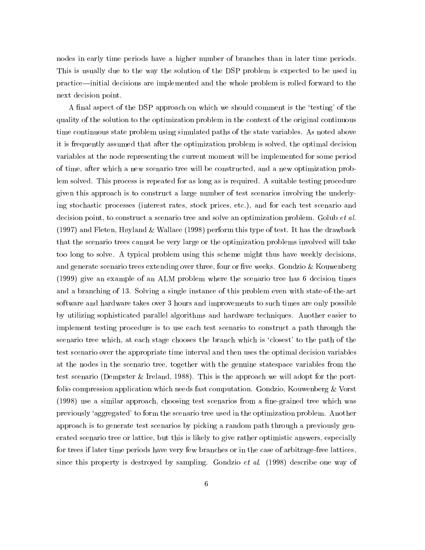nodes in early time periods have a higher number of branches than in later time periods. This is usually due to the way the solution of the DSP problem is expected to be used in practice—initial decisions are implemented and the whole problem is rolled forward to the next decision point.

A final aspect of the DSP approach on which we should comment is the 'testing' of the quality of the solution to the optimization problem in the context of the original continuous time continuous state problem using simulated paths of the state variables. As noted above it is frequently assumed that after the optimization problem is solved, the optimal decision variables at the node representing the current moment will be implemented for some period of time, after which a new scenario tree will be constructed, and a new optimization problem solved. This process is repeated for as long as is required. A suitable testing procedure given this approach is to construct a large number of test scenarios involving the underlying stochastic processes (interest rates, stock prices, etc.), and for each test scenario and decision point, to construct a scenario tree and solve an optimization problem. Golub et al. (1997) and Fleten, Hyland & Wallace (1998) perform this type of test. It has the drawback that the scenario trees cannot be very large or the optimization problems involved will take too long to solve. A typical problem using this scheme might thus have weekly decisions, and generate scenario trees extending over three, four or five weeks. Gondzio  $&$  Kouwenberg (1999) give an example of an ALM problem where the scenario tree has 6 decision times and a branching of 13. Solving a single instance of this problem even with state-of-the-art software and hardware takes over 3 hours and improvements to such times are only possible by utilizing sophisticated parallel algorithms and hardware techniques. Another easier to implement testing procedure is to use each test scenario to construct a path through the scenario tree which, at each stage chooses the branch which is `closest' to the path of the test scenario over the appropriate time interval and then uses the optimal decision variables at the nodes in the scenario tree, together with the genuine statespace variables from the test scenario (Dempster & Ireland, 1988). This is the approach we will adopt for the portfolio compression application which needs fast computation. Gondzio, Kouwenberg & Vorst (1998) use a similar approach, choosing test scenarios from a fine-grained tree which was previously `aggregated' to form the scenario tree used in the optimization problem. Another approach is to generate test scenarios by picking a random path through a previously generated scenario tree or lattice, but this is likely to give rather optimistic answers, especially for trees if later time periods have very few branches or in the case of arbitrage-free lattices, since this property is destroyed by sampling. Gondzio  $et al.$  (1998) describe one way of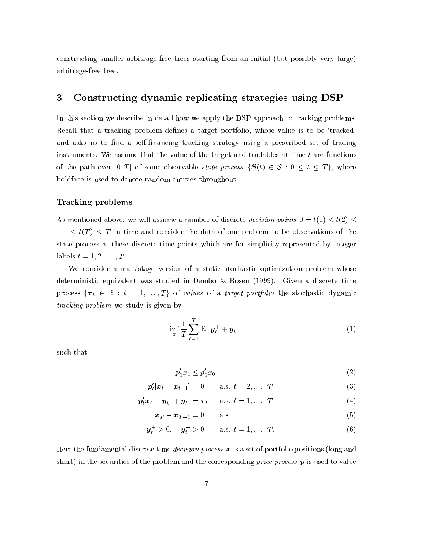constructing smaller arbitrage-free trees starting from an initial (but possibly very large) arbitrage-free tree.

## 3 Constructing dynamic replicating strategies using DSP

In this section we describe in detail how we apply the DSP approach to tracking problems. Recall that a tracking problem defines a target portfolio, whose value is to be 'tracked' and asks us to find a self-financing tracking strategy using a prescribed set of trading instruments. We assume that the value of the target and tradables at time  $t$  are functions of the path over  $[0, T]$  of some observable state process  $\{S(t) \in S : 0 \le t \le T\}$ , where boldface is used to denote random entities throughout.

## $T$  . The contract problems of  $T$

As mentioned above, we will assume a number of discrete *decision points*  $0 = t(1) \leq t(2) \leq$  $\cdots \leq t(T) \leq T$  in time and consider the data of our problem to be observations of the state process at these discrete time points which are for simplicity represented by integer labels  $t = 1, 2, \ldots, T$ .

We consider a multistage version of a static stochastic optimization problem whose deterministic equivalent was studied in Dembo & Rosen (1999). Given a discrete time process  $\{\tau_t \in \mathbb{R} : t = 1,\ldots,T\}$  of values of a target portfolio the stochastic dynamic tracking problem we study is given by

$$
\inf_{\boldsymbol{x}} \frac{1}{T} \sum_{t=1}^{T} \mathbb{E}\left[\boldsymbol{y}_t^+ + \boldsymbol{y}_t^-\right] \tag{1}
$$

such that

$$
p_1' x_1 \le p_1' x_0 \tag{2}
$$

$$
\boldsymbol{p}_t'[\boldsymbol{x}_t - \boldsymbol{x}_{t-1}] = 0 \qquad \text{a.s. } t = 2, \dots, T \tag{3}
$$

$$
\boldsymbol{p}_t^{\prime} \boldsymbol{x}_t - \boldsymbol{y}_t^+ + \boldsymbol{y}_t^- = \boldsymbol{\tau}_t \quad \text{a.s. } t = 1, \dots, T \tag{4}
$$

$$
\boldsymbol{x}_T - \boldsymbol{x}_{T-1} = 0 \qquad \text{a.s.} \tag{5}
$$

$$
y_t^+ \ge 0, \quad y_t^- \ge 0
$$
 a.s.  $t = 1, ..., T$ . (6)

Here the fundamental discrete time *decision process*  $\boldsymbol{x}$  is a set of portfolio positions (long and short) in the securities of the problem and the corresponding *price process*  $\boldsymbol{p}$  is used to value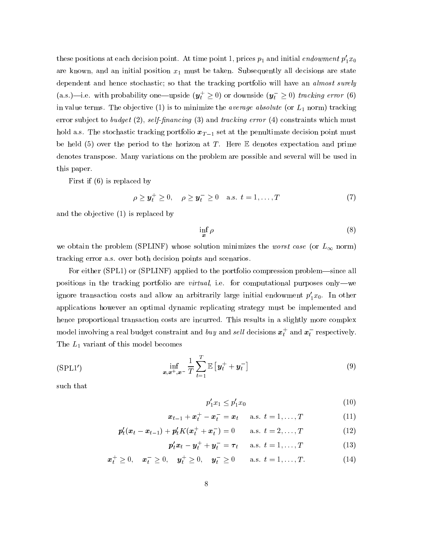these positions at each decision point. At time point 1, prices  $p_1$  and initial endowment  $p_1^{\prime}x_0$ are known, and an initial position  $x_1$  must be taken. Subsequently all decisions are state dependent and hence stochastic; so that the tracking portfolio will have an *almost surely* (a.s.)—i.e. with probability one—upside  $(y_t^+\geq 0)$  or downside  $(y_t^-\geq 0)$  tracking error (6) in value terms. The objective (1) is to minimize the average absolute (or  $L_1$  norm) tracking error subject to budget (2), self-financing (3) and tracking error (4) constraints which must hold a.s. The stochastic tracking portfolio  $x_{T-1}$  set at the penultimate decision point must be held (5) over the period to the horizon at T. Here  $E$  denotes expectation and prime denotes transpose. Many variations on the problem are possible and several will be used in this paper.

First if (6) is replaced by

$$
\rho \geq \boldsymbol{y}_t^+ \geq 0, \quad \rho \geq \boldsymbol{y}_t^- \geq 0 \quad \text{a.s. } t = 1, \dots, T \tag{7}
$$

and the objective  $(1)$  is replaced by

$$
\inf_{x} \rho \tag{8}
$$

we obtain the problem (SPLINF) whose solution minimizes the worst case (or  $L_{\infty}$  norm) tracking error a.s. over both decision points and scenarios.

For either (SPL1) or (SPLINF) applied to the portfolio compression problem—since all positions in the tracking portfolio are *virtual*, i.e. for computational purposes only—we ignore transaction costs and allow an arbitrarily large initial endowment  $p_1^{\prime}x_0$ . In other applications however an optimal dynamic replicating strategy must be implemented and hence proportional transaction costs are incurred. This results in a slightly more complex model involving a real budget constraint and  $\frac{buy}{}$  and  $\frac{sell}{}$  decisions  $\bm{x}_{t}^{+}$  and  $\bm{x}_{t}^{-}$  respectively. The  $L_1$  variant of this model becomes

$$
\inf_{\boldsymbol{x}, \boldsymbol{x}^+, \boldsymbol{x}^-} \frac{1}{T} \sum_{t=1}^T \mathbb{E} \left[ \boldsymbol{y}_t^+ + \boldsymbol{y}_t^- \right] \tag{9}
$$

such that

$$
p_1' x_1 \le p_1' x_0 \tag{10}
$$

$$
\boldsymbol{x}_{t-1} + \boldsymbol{x}_t^+ - \boldsymbol{x}_t^- = \boldsymbol{x}_t \quad \text{ a.s. } t = 1, \dots, T \tag{11}
$$

$$
\boldsymbol{p}'_t(\boldsymbol{x}_t - \boldsymbol{x}_{t-1}) + \boldsymbol{p}'_t K(\boldsymbol{x}_t^+ + \boldsymbol{x}_t^-) = 0 \qquad \text{a.s. } t = 2, \dots, T
$$
 (12)

$$
\boldsymbol{p}_t^{\prime} \boldsymbol{x}_t - \boldsymbol{y}_t^+ + \boldsymbol{y}_t^- = \boldsymbol{\tau}_t \quad \text{ a.s. } t = 1, \dots, T \tag{13}
$$

$$
\boldsymbol{x}_t^+ \geq 0, \quad \boldsymbol{x}_t^- \geq 0, \quad \boldsymbol{y}_t^+ \geq 0, \quad \boldsymbol{y}_t^- \geq 0 \qquad \text{a.s. } t = 1, \dots, T. \tag{14}
$$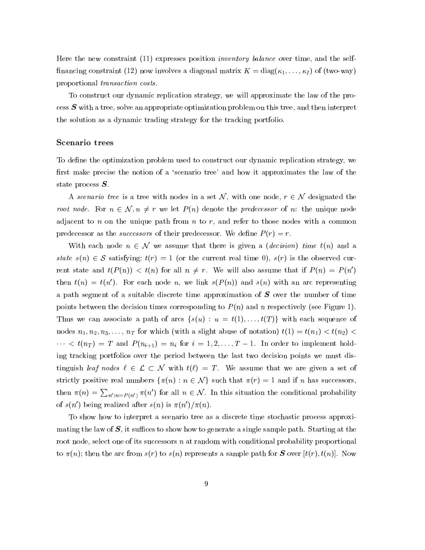Here the new constraint (11) expresses position *inventory balance* over time, and the selffinancing constraint (12) now involves a diagonal matrix  $K = diag(\kappa_1, \ldots, \kappa_I)$  of (two-way) proportional transaction costs.

To construct our dynamic replication strategy, we will approximate the law of the process  $S$  with a tree, solve an appropriate optimization problem on this tree, and then interpret the solution as a dynamic trading strategy for the tracking portfolio.

To define the optimization problem used to construct our dynamic replication strategy, we first make precise the notion of a 'scenario tree' and how it approximates the law of the state process  $S$ .

A scenario tree is a tree with nodes in a set  $\mathcal{N}$ , with one node,  $r \in \mathcal{N}$  designated the root node. For  $n \in \mathcal{N}, n \neq r$  we let  $P(n)$  denote the predecessor of n: the unique node adjacent to n on the unique path from  $n$  to  $r$ , and refer to those nodes with a common predecessor as the *successors* of their predecessor. We define  $P(r) = r$ .

With each node  $n \in \mathcal{N}$  we assume that there is given a (*decision*) time  $t(n)$  and a state  $s(n) \in S$  satisfying:  $t(r) = 1$  (or the current real time 0),  $s(r)$  is the observed current state and  $t(P(n)) < t(n)$  for all  $n \neq r$ . We will also assume that if  $P(n) = P(n')$ then  $t(n) = t(n')$ . For each node n, we link  $s(P(n))$  and  $s(n)$  with an arc representing a path segment of a suitable discrete time approximation of  $S$  over the number of time points between the decision times corresponding to  $P(n)$  and n respectively (see Figure 1). Thus we can associate a path of arcs  $\{s(u):u = t(1),...,t(T)\}\)$  with each sequence of nodes  $n_1, n_2, n_3, \ldots, n_T$  for which (with a slight abuse of notation)  $t(1) = t(n_1) < t(n_2)$  $t \in \ell(n_T) = I$  and  $P(n_{i+1}) = n_i$  for  $i = 1, 2, \ldots, T-1$ . In order to implement holding tracking portfolios over the period between the last two decision points we must distinguish leaf nodes  $\ell \in \mathcal{L} \subset \mathcal{N}$  with  $t(\ell) = T$ . We assume that we are given a set of strictly positive real numbers  $\{\pi(n) : n \in \mathcal{N}\}\$  such that  $\pi(r) = 1$  and if n has successors, then  $\pi(n) = \sum_{n':n=P(n')} \pi(n')$  for all  $n \in \mathcal{N}$ . In this situation the conditional probability of  $s(n')$  being realized after  $s(n)$  is  $\pi(n')/\pi(n)$ .

To show how to interpret a scenario tree as a discrete time stochastic process approximating the law of  $S$ , it suffices to show how to generate a single sample path. Starting at the root node, select one of its successors n at random with conditional probability proportional to  $\pi(n)$ ; then the arc from  $s(r)$  to  $s(n)$  represents a sample path for S over  $[t(r), t(n)]$ . Now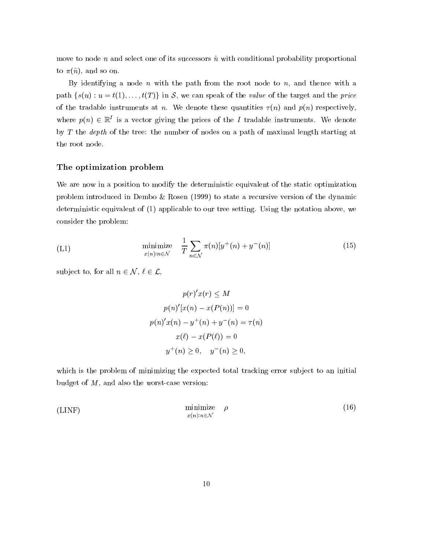move to node n and select one of its successors  $\tilde{n}$  with conditional probability proportional to  $\pi(\tilde{n})$ , and so on.

By identifying a node  $n$  with the path from the root node to  $n$ , and thence with a path  $\{s(u):u=t(1),...,t(T)\}\$ in S, we can speak of the value of the target and the price of the tradable instruments at n. We denote these quantities  $\tau(n)$  and  $p(n)$  respectively, where  $p(n) \in \mathbb{R}^n$  is a vector giving the prices of the I tradable instruments. We denote by  $T$  the *depth* of the tree: the number of nodes on a path of maximal length starting at the root node.

### The optimization problem

We are now in a position to modify the deterministic equivalent of the static optimization problem introduced in Dembo & Rosen (1999) to state a recursive version of the dynamic deterministic equivalent of (1) applicable to our tree setting. Using the notation above, we consider the problem:

$$
\text{(L1)} \qquad \qquad \text{minimize} \quad \frac{1}{T} \sum_{n \in \mathcal{N}} \pi(n) [y^+(n) + y^-(n)] \tag{15}
$$

subject to, for all  $n \in \mathcal{N}, \ell \in \mathcal{L}$ ,

$$
p(r)'x(r) \le M
$$

$$
p(n)'[x(n) - x(P(n))] = 0
$$

$$
p(n)'x(n) - y^+(n) + y^-(n) = \tau(n)
$$

$$
x(\ell) - x(P(\ell)) = 0
$$

$$
y^+(n) \ge 0, \quad y^-(n) \ge 0,
$$

which is the problem of minimizing the expected total tracking error subject to an initial budget of M, and also the worst-case version:

(LINF) 
$$
\begin{array}{ll}\text{minimize} & \rho\\ x(n):n \in \mathcal{N} \end{array} \tag{16}
$$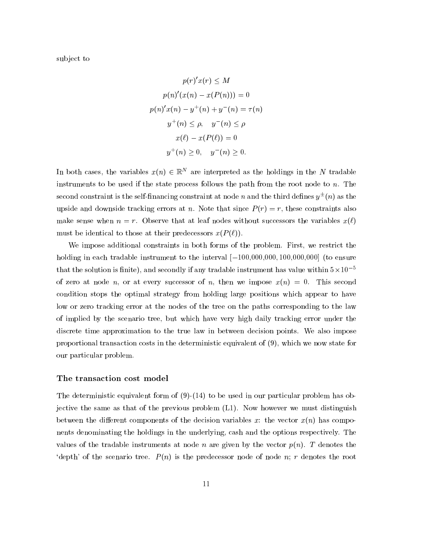subject to

$$
p(r)'x(r) \le M
$$
  
\n
$$
p(n)'(x(n) - x(P(n))) = 0
$$
  
\n
$$
p(n)'x(n) - y^+(n) + y^-(n) = \tau(n)
$$
  
\n
$$
y^+(n) \le \rho, \quad y^-(n) \le \rho
$$
  
\n
$$
x(\ell) - x(P(\ell)) = 0
$$
  
\n
$$
y^+(n) \ge 0, \quad y^-(n) \ge 0.
$$

In both cases, the variables  $x(n) \in \mathbb{R}^N$  are interpreted as the holdings in the N tradable instruments to be used if the state process follows the path from the root node to  $n$ . The second constraint is the self-imancing constraint at hode  $n$  and the third dennes  $y^{\perp}(n)$  as the upside and downside tracking errors at n. Note that since  $P(r) = r$ , these constraints also make sense when  $n = r$ . Observe that at leaf nodes without successors the variables  $x(\ell)$ must be identical to those at their predecessors  $x(P(\ell))$ .

We impose additional constraints in both forms of the problem. First, we restrict the holding in each tradable instrument to the interval  $[-100,000,000,100,000,000]$  (to ensure that the solution is finite), and secondly if any tradable instrument has value within 5  $\times$  10  $^{-\circ}$ of zero at node n, or at every successor of n, then we impose  $x(n) = 0$ . This second condition stops the optimal strategy from holding large positions which appear to have low or zero tracking error at the nodes of the tree on the paths corresponding to the law of implied by the scenario tree, but which have very high daily tracking error under the discrete time approximation to the true law inbetween decision points. We also impose proportional transaction costs in the deterministic equivalent of (9), which we now state for our particular problem.

### The transaction cost model

The deterministic equivalent form of  $(9)-(14)$  to be used in our particular problem has objective the same as that of the previous problem (L1). Now however we must distinguish between the different components of the decision variables x: the vector  $x(n)$  has components denominating the holdings in the underlying, cash and the options respectively. The values of the tradable instruments at node n are given by the vector  $p(n)$ . T denotes the 'depth' of the scenario tree.  $P(n)$  is the predecessor node of node n; r denotes the root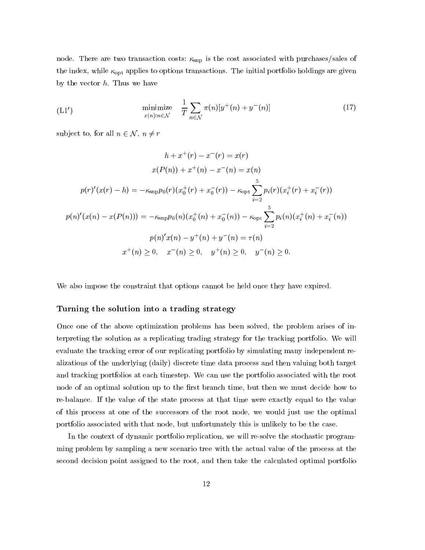node. There are two transaction costs:  $\kappa_{\rm{sup}}$  is the cost associated with purchases/sales of the index, while  $\kappa_{\rm opt}$  applies to options transactions. The initial portfolio holdings are given by the vector  $h$ . Thus we have

$$
\text{(L1')} \qquad \qquad \text{minimize} \quad \frac{1}{T} \sum_{n \in \mathcal{N}} \pi(n) [y^+(n) + y^-(n)] \qquad \qquad (17)
$$

subject to, for all  $n \in \mathcal{N}$ ,  $n \neq r$ 

$$
h + x^{+}(r) - x^{-}(r) = x(r)
$$
  
\n
$$
x(P(n)) + x^{+}(n) - x^{-}(n) = x(n)
$$
  
\n
$$
p(r)'(x(r) - h) = -\kappa_{\text{snp}} p_0(r) (x_0^{+}(r) + x_0^{-}(r)) - \kappa_{\text{opt}} \sum_{i=2}^{5} p_i(r) (x_i^{+}(r) + x_i^{-}(r))
$$
  
\n
$$
p(n)'(x(n) - x(P(n))) = -\kappa_{\text{snp}} p_0(n) (x_0^{+}(n) + x_0^{-}(n)) - \kappa_{\text{opt}} \sum_{i=2}^{5} p_i(n) (x_i^{+}(n) + x_i^{-}(n))
$$
  
\n
$$
p(n)'x(n) - y^{+}(n) + y^{-}(n) = \tau(n)
$$
  
\n
$$
x^{+}(n) \ge 0, \quad x^{-}(n) \ge 0, \quad y^{+}(n) \ge 0, \quad y^{-}(n) \ge 0.
$$

We also impose the constraint that options cannot be held once they have expired.

### $T$  the solution is the solution into a trading strategy from  $T$

Once one of the above optimization problems has been solved, the problem arises of interpreting the solution as a replicating trading strategy for the tracking portfolio. We will evaluate the tracking error of our replicating portfolio by simulating many independent realizations of the underlying (daily) discrete time data process and then valuing both target and tracking portfolios at each timestep. We can use the portfolio associated with the root node of an optimal solution up to the first branch time, but then we must decide how to re-balance. If the value of the state process at that time were exactly equal to the value of this process at one of the successors of the root node, we would just use the optimal portfolio associated with that node, but unfortunately this is unlikely to be the case.

In the context of dynamic portfolio replication, we will re-solve the stochastic programming problem by sampling a new scenario tree with the actual value of the process at the second decision point assigned to the root, and then take the calculated optimal portfolio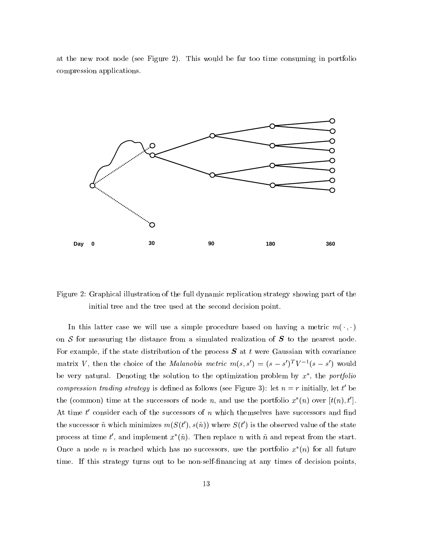at the new root node (see Figure 2). This would be far too time consuming in portfolio compression applications.



Figure 2: Graphical illustration of the full dynamic replication strategy showing part of the initial tree and the tree used at the second decision point.

In this latter case we will use a simple procedure based on having a metric  $m(\cdot, \cdot)$ on  $S$  for measuring the distance from a simulated realization of  $S$  to the nearest node. For example, if the state distribution of the process  $S$  at  $t$  were Gaussian with covariance matrix v, then the choice of the *Malanoois metric m(s, s)*  $\equiv$  ( $s - s$ )  $\bar{v}$  ( $s - s$ ) would be very natural. Denoting the solution to the optimization problem by  $x$  , the *portfolio compression traaing strategy* is defined as follows (see Figure 5): let  $n = r$  initially, let t be the (common) time at the successors of node n, and use the portfolio x  $(n)$  over  $(t(n), t)$ . At time  $t$  consider each of the successors of  $n$  which themselves have successors and find the successor  $n$  which minimizes  $m(s(t), s(n))$  where  $S(t)$  is the observed value of the state process at time  $\iota$ , and implement  $x$  (n). Then replace n with  $n$  and repeat from the start. Once a node n is reached which has no successors, use the portfolio  $x$  ( $n$ ) for all future time. If this strategy turns out to be non-self-nancing at any times of decision points,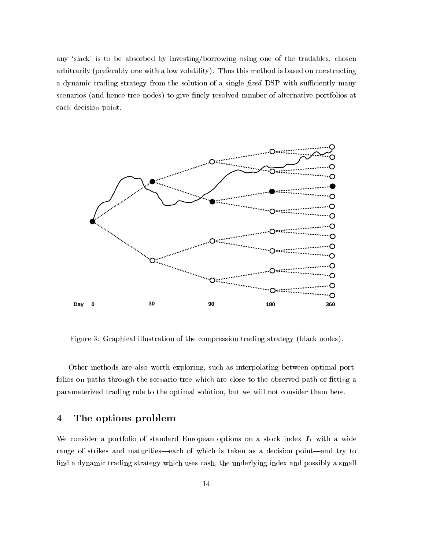any 'slack' is to be absorbed by investing/borrowing using one of the tradables, chosen arbitrarily (preferably one with a low volatility). Thus this method is based on constructing a dynamic trading strategy from the solution of a single fixed DSP with sufficiently many scenarios (and hence tree nodes) to give finely resolved number of alternative portfolios at each decision point.



Figure 3: Graphical illustration of the compression trading strategy (black nodes).

Other methods are also worth exploring, such as interpolating between optimal portfolios on paths through the scenario tree which are close to the observed path or fitting a parameterized trading rule to the optimal solution, but we will not consider them here.

## 4 The options problem

We consider a portfolio of standard European options on a stock index <sup>I</sup> <sup>t</sup> with <sup>a</sup> wide range of strikes and maturities—each of which is taken as a decision point—and try to find a dynamic trading strategy which uses cash, the underlying index and possibly a small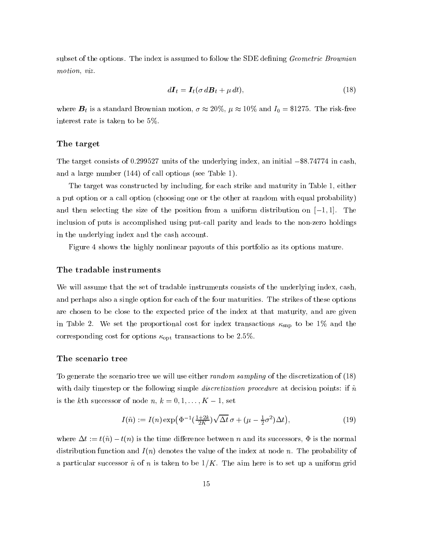subset of the options. The index is assumed to follow the SDE defining *Geometric Brownian* motion, viz.

$$
d\mathbf{I}_t = \mathbf{I}_t (\sigma \, d\mathbf{B}_t + \mu \, dt), \tag{18}
$$

where  $B_t$  is a standard Brownian motion,  $\sigma \approx 20\%$ ,  $\mu \approx 10\%$  and  $I_0 = $1275$ . The risk-free interest rate is taken to be 5%.

## $T$  the target  $T$  target  $T$

The target consists of 0.299527 units of the underlying index, an initial  $-$ \$8.74774 in cash, and a large number (144) of call options (see Table 1).

The target was constructed by including, for each strike and maturity in Table 1, either a put option or a call option (choosing one or the other at random with equal probability) and then selecting the size of the position from a uniform distribution on  $[-1, 1]$ . The inclusion of puts is accomplished using put-call parity and leads to the non-zero holdings in the underlying index and the cash account.

Figure 4 shows the highly nonlinear payouts of this portfolio as its options mature.

We will assume that the set of tradable instruments consists of the underlying index, cash, and perhaps also a single option for each of the four maturities. The strikes of these options are chosen to be close to the expected price of the index at that maturity, and are given in Table 2. We set the proportional cost for index transactions  $\kappa_{\text{sup}}$  to be 1% and the corresponding cost for options  $\kappa_{opt}$  transactions to be 2.5%.

To generate the scenario tree we will use either *random sampling* of the discretization of (18) with daily timestep or the following simple *discretization procedure* at decision points: if  $\tilde{n}$ is the kth successor of node  $n, k = 0, 1, \ldots, K - 1$ , set

$$
I(\tilde{n}) := I(n) \exp\left(\Phi^{-1}\left(\frac{1+2k}{2K}\right)\sqrt{\Delta t} \,\sigma + \left(\mu - \frac{1}{2}\sigma^2\right)\Delta t\right),\tag{19}
$$

where  $\Delta t := t(\tilde{n}) - t(n)$  is the time difference between n and its successors,  $\Phi$  is the normal distribution function and  $I(n)$  denotes the value of the index at node n. The probability of a particular successor  $\tilde{n}$  of n is taken to be  $1/K$ . The aim here is to set up a uniform grid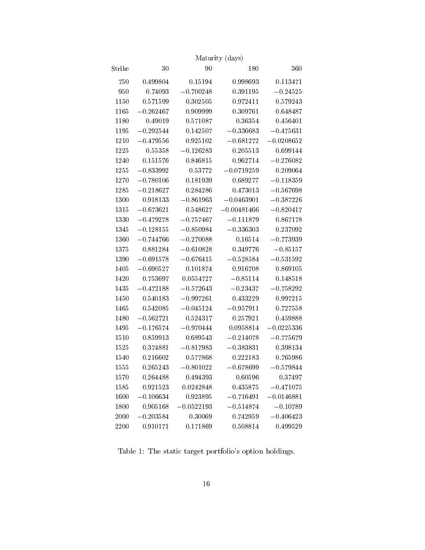|        |             |              | Maturity (days) |                        |  |
|--------|-------------|--------------|-----------------|------------------------|--|
| Strike | 30          | 90           | 180             | 360                    |  |
| 750    | 0.499804    | 0.15194      | 0.998693        | 0.113471               |  |
| 950    | 0.74093     | $-0.700248$  | 0.391195        | $-0.24525$             |  |
| 1150   | 0.571599    | 0.302505     | 0.972411        | 0.579243               |  |
| 1165   | $-0.262467$ | 0.909999     | 0.309761        | 0.648487               |  |
| 1180   | 0.49019     | 0.571087     | 0.36354         | 0.456401               |  |
| 1195   | $-0.292544$ | 0.142507     |                 | $-0.336683 -0.475631$  |  |
| 1210   | $-0.479556$ | 0.925102     | $-0.681272$     | $-0.0208652$           |  |
| 1225   | 0.55358     | $-0.126283$  | 0.205513        | 0.699144               |  |
| 1240   | 0.151576    | 0.846815     | 0.962714        | $-0.276082$            |  |
| 1255   | $-0.833992$ | 0.53772      | $-0.0719259$    | 0.209064               |  |
| 1270   | $-0.780106$ | 0.181939     | 0.689277        | $-0.118359$            |  |
| 1285   | $-0.218627$ | 0.284286     | 0.473013        | $-0.567698$            |  |
| 1300   | 0.918133    | $-0.861963$  | $-0.0463901$    | $-0.387226$            |  |
| 1315   | $-0.673621$ | 0.548627     | $-0.00481466$   | $-0.820417$            |  |
| 1330   | $-0.479278$ | $-0.757467$  | $-0.111879$     | 0.867178               |  |
| 1345   | $-0.128155$ | $-0.850984$  | $-0.336303$     | 0.237092               |  |
| 1360   | $-0.744766$ | $-0.270088$  | 0.16514         | $-0.773939$            |  |
| 1375   | 0.881284    | $-0.610828$  | 0.349776        | $-0.85157$             |  |
| 1390   | $-0.691578$ | $-0.676415$  | $-0.528584$     | $-0.531592$            |  |
| 1405   | $-0.690527$ | 0.101874     | 0.916708        | 0.869105               |  |
| 1420   | 0.753697    | 0.0554727    | $-0.85114$      | 0.148518               |  |
| 1435   | $-0.472188$ | $-0.572643$  | $-0.23437$      | $-0.758292$            |  |
| 1450   | 0.540183    | $-0.997261$  | 0.433229        | 0.997215               |  |
| 1465   | 0.542085    | $-0.045124$  | $-0.957911$     | 0.727558               |  |
| 1480   | $-0.562721$ | 0.524317     | 0.257921        | 0.459888               |  |
| 1495   | $-0.176574$ | $-0.970444$  | 0.0958814       | $-0.0225336$           |  |
| 1510   | 0.859913    | 0.689543     |                 | $-0.214078 - 0.775679$ |  |
| 1525   | 0.374881    | $-0.817983$  | $-0.383831$     | 0.398134               |  |
| 1540   | 0.216602    | 0.577868     | 0.222183        | 0.765986               |  |
| 1555   | 0.265243    | $-0.801022$  | $-0.678699$     | $-0.579844$            |  |
| 1570   | 0.264488    | 0.494393     | 0.60596         | 0.37497                |  |
| 1585   | 0.921523    | 0.0242848    | 0.435875        | $-0.471075$            |  |
| 1600   | $-0.106634$ | 0.923895     | $-0.716491$     | $-0.0146881$           |  |
| 1800   | 0.905168    | $-0.0522193$ | $-0.514874$     | $-0.10789$             |  |
| 2000   | $-0.203584$ | 0.30069      | 0.742959        | $-0.406423$            |  |
| 2200   | 0.910171    | 0.171869     | 0.508814        | 0.499529               |  |

Table 1: The static target portfolio's option holdings.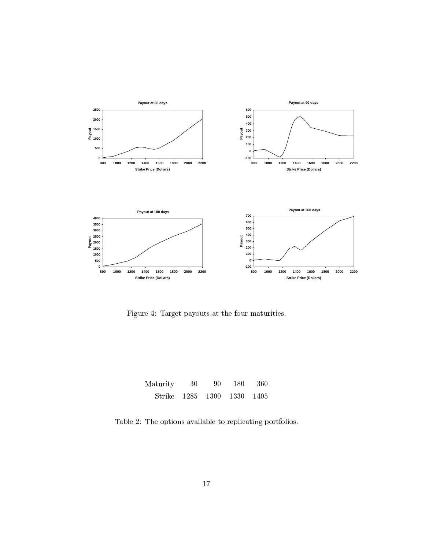

Figure 4: Target payouts at the four maturities.

| Maturity 30 90 180 360     |  |  |
|----------------------------|--|--|
| Strike 1285 1300 1330 1405 |  |  |

Table 2: The options available to replicating portfolios.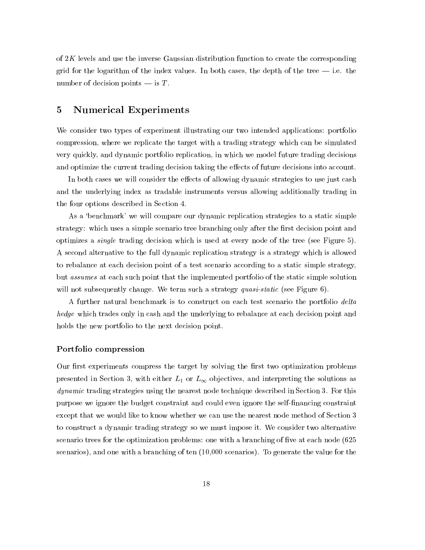of  $2K$  levels and use the inverse Gaussian distribution function to create the corresponding grid for the logarithm of the index values. In both cases, the depth of the tree  $-$  i.e. the number of decision points  $-$  is  $T$ .

## 5 Numerical Experiments

We consider two types of experiment illustrating our two intended applications: portfolio compression, where we replicate the target with a trading strategy which can be simulated very quickly, and dynamic portfolio replication, in which we model future trading decisions and optimize the current trading decision taking the effects of future decisions into account.

In both cases we will consider the effects of allowing dynamic strategies to use just cash and the underlying index as tradable instruments versus allowing additionally trading in the four options described in Section 4.

As a 'benchmark' we will compare our dynamic replication strategies to a static simple strategy: which uses a simple scenario tree branching only after the first decision point and optimizes a single trading decision which is used at every node of the tree (see Figure 5). A second alternative to the full dynamic replication strategy is a strategy which is allowed to rebalance at each decision point of a test scenario according to a static simple strategy, but assumes at each such point that the implemented portfolio of the static simple solution will not subsequently change. We term such a strategy quasi-static (see Figure  $6$ ).

A further natural benchmark is to construct on each test scenario the portfolio delta hedge which trades only in cash and the underlying to rebalance at each decision point and holds the new portfolio to the next decision point.

### Portfolio compression

Our first experiments compress the target by solving the first two optimization problems presented in Section 3, with either  $L_1$  or  $L_{\infty}$  objectives, and interpreting the solutions as dynamic trading strategies using the nearest node technique described in Section 3. For this purpose we ignore the budget constraint and could even ignore the self-financing constraint except that we would like to know whether we can use the nearest node method of Section 3 to construct a dynamic trading strategy so we must impose it. We consider two alternative scenario trees for the optimization problems: one with a branching of five at each node (625) scenarios), and one with a branching of ten (10,000 scenarios). To generate the value for the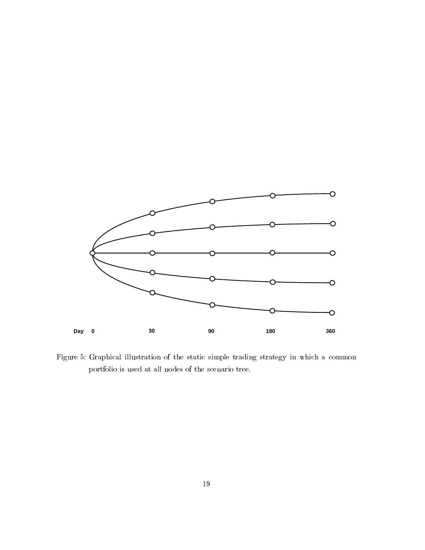

Figure 5: Graphical illustration of the static simple trading strategy in which a common portfolio is used at all nodes of the scenario tree.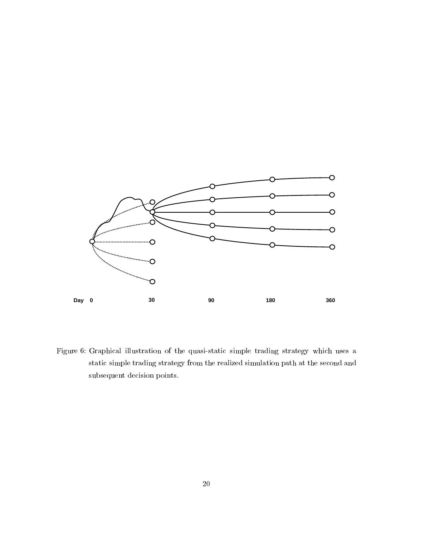

Figure 6: Graphical illustration of the quasi-static simple trading strategy which uses a static simple trading strategy from the realized simulation path at the second and subsequent decision points.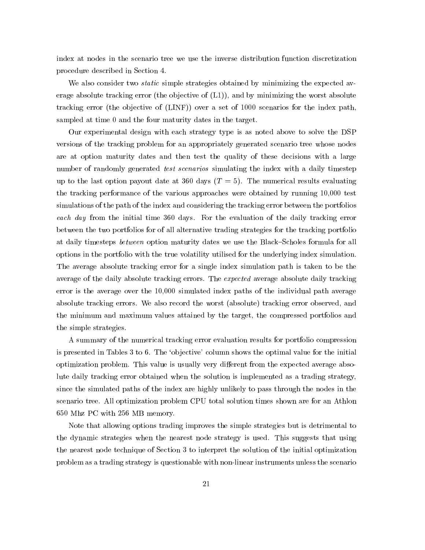index at nodes in the scenario tree we use the inverse distribution function discretization procedure described in Section 4.

We also consider two *static* simple strategies obtained by minimizing the expected average absolute tracking error (the objective of  $(L1)$ ), and by minimizing the worst absolute tracking error (the objective of  $(LINF)$ ) over a set of 1000 scenarios for the index path, sampled at time 0 and the four maturity dates in the target.

Our experimental design with each strategy type is as noted above to solve the DSP versions of the tracking problem for an appropriately generated scenario tree whose nodes are at option maturity dates and then test the quality of these decisions with a large number of randomly generated *test scenarios* simulating the index with a daily timestep up to the last option payout date at 360 days  $(T = 5)$ . The numerical results evaluating the tracking performance of the various approaches were obtained by running 10,000 test simulations of the path of the index and considering the tracking error between the portfolios each day from the initial time 360 days. For the evaluation of the daily tracking error between the two portfolios for of all alternative trading strategies for the tracking portfolio at daily timesteps between option maturity dates we use the Black–Scholes formula for all options in the portfolio with the true volatility utilised for the underlying index simulation. The average absolute tracking error for a single index simulation path is taken to be the average of the daily absolute tracking errors. The *expected* average absolute daily tracking error is the average over the 10,000 simulated index paths of the individual path average absolute tracking errors. We also record the worst (absolute) tracking error observed, and the minimum and maximum values attained by the target, the compressed portfolios and the simple strategies.

A summary of the numerical tracking error evaluation results for portfolio compression is presented in Tables 3 to 6. The `ob jective' column shows the optimal value for the initial optimization problem. This value is usually very different from the expected average absolute daily tracking error obtained when the solution is implemented as a trading strategy, since the simulated paths of the index are highly unlikely to pass through the nodes in the scenario tree. All optimization problem CPU total solution times shown are for an Athlon 650 Mhz PC with 256 MB memory.

Note that allowing options trading improves the simple strategies but is detrimental to the dynamic strategies when the nearest node strategy is used. This suggests that using the nearest node technique of Section 3 to interpret the solution of the initial optimization problem as a trading strategy is questionable with non-linear instruments unless the scenario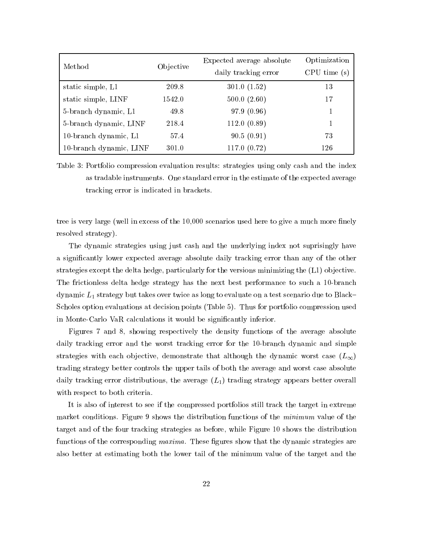| Method                  | Objective | Expected average absolute<br>daily tracking error | Optimization<br>CPU time(s) |  |
|-------------------------|-----------|---------------------------------------------------|-----------------------------|--|
| static simple, L1       | 209.8     | 301.0(1.52)                                       | 13                          |  |
| static simple, LINF     | 1542.0    | 500.0(2.60)                                       | 17                          |  |
| 5-branch dynamic, L1    | 49.8      | 97.9(0.96)                                        |                             |  |
| 5-branch dynamic, LINF  | 218.4     | 112.0(0.89)                                       |                             |  |
| 10-branch dynamic, L1   | 57.4      | 90.5(0.91)                                        | 73                          |  |
| 10-branch dynamic, LINF | 301.0     | 117.0 (0.72)                                      | 126                         |  |

Table 3: Portfolio compression evaluation results: strategies using only cash and the index as tradable instruments. One standard error in the estimate of the expected average tracking error is indicated in brackets.

tree is very large (well in excess of the 10,000 scenarios used here to give a much more finely resolved strategy).

The dynamic strategies using just cash and the underlying index not suprisingly have a signicantly lower expected average absolute daily tracking error than any of the other strategies except the delta hedge, particularly for the versions minimizing the  $(L1)$  objective. The frictionless delta hedge strategy has the next best performance to such a 10-branch dynamic  $L_1$  strategy but takes over twice as long to evaluate on a test scenario due to Black-Scholes option evaluations at decision points (Table 5). Thus for portfolio compression used in Monte-Carlo VaR calculations it would be signicantly inferior.

Figures 7 and 8, showing respectively the density functions of the average absolute daily tracking error and the worst tracking error for the 10-branch dynamic and simple strategies with each objective, demonstrate that although the dynamic worst case  $(L_{\infty})$ trading strategy better controls the upper tails of both the average and worst case absolute daily tracking error distributions, the average  $(L_1)$  trading strategy appears better overall with respect to both criteria.

It is also of interest to see if the compressed portfolios still track the target in extreme market conditions. Figure 9 shows the distribution functions of the *minimum* value of the target and of the four tracking strategies as before, while Figure 10 shows the distribution functions of the corresponding *maxima*. These figures show that the dynamic strategies are also better at estimating both the lower tail of the minimum value of the target and the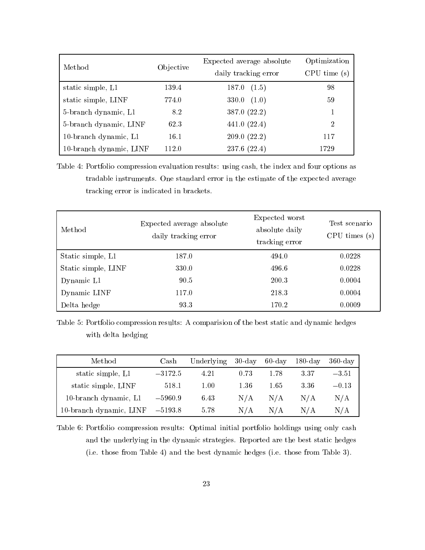| Method                  | Objective | Expected average absolute<br>daily tracking error | Optimization<br>CPU time(s) |
|-------------------------|-----------|---------------------------------------------------|-----------------------------|
| static simple, L1       | 139.4     | 187.0 (1.5)                                       | 98                          |
| static simple, LINF     | 774.0     | 330.0 $(1.0)$                                     | 59                          |
| 5-branch dynamic, L1    | 8.2       | 387.0 (22.2)                                      |                             |
| 5-branch dynamic, LINF  | 62.3      | 441.0(22.4)                                       | $\overline{2}$              |
| 10-branch dynamic, L1   | 16.1      | 209.0(22.2)                                       | 117                         |
| 10-branch dynamic, LINF | 112.0     | 237.6 (22.4)                                      | 1729                        |

Table 4: Portfolio compression evaluation results: using cash, the index and four options as tradable instruments. One standard error in the estimate of the expected average tracking error is indicated in brackets.

| Method              | Expected average absolute<br>daily tracking error | Expected worst<br>absolute daily<br>tracking error | Test scenario<br>$CPU \times (s)$ |
|---------------------|---------------------------------------------------|----------------------------------------------------|-----------------------------------|
| Static simple, L1   | 187.0                                             | 494.0                                              | 0.0228                            |
| Static simple, LINF | 330.0                                             | 496.6                                              | 0.0228                            |
| Dynamic L1          | 90.5                                              | 200.3                                              | 0.0004                            |
| Dynamic LINF        | 117.0                                             | 218.3                                              | 0.0004                            |
| Delta hedge         | 93.3                                              | 170.2                                              | 0.0009                            |

Table 5: Portfolio compression results: A comparision of the best static and dynamic hedges with delta hedging

| Method                  | Cash      | Underlying | $30$ -day | $60$ -day | $180$ -dav | $360$ -day              |
|-------------------------|-----------|------------|-----------|-----------|------------|-------------------------|
| static simple, L1       | $-3172.5$ | 4.21       | 0.73      | 1.78      | 3.37       | $-3.51$                 |
| static simple, LINF     | 518.1     | 1.00       | 1.36      | 1.65      | 3.36       | $-0.13$                 |
| 10-branch dynamic, L1   | $-5960.9$ | 6.43       | N/A       | N/A       | N/A        | N/A                     |
| 10-branch dynamic, LINF | $-5193.8$ | 5.78       | N/A       | $\rm N/A$ | N/A        | $\mathrm{N}/\mathrm{A}$ |

Table 6: Portfolio compression results: Optimal initial portfolio holdings using only cash and the underlying in the dynamic strategies. Reported are the best static hedges (i.e. those from Table 4) and the best dynamic hedges (i.e. those from Table 3).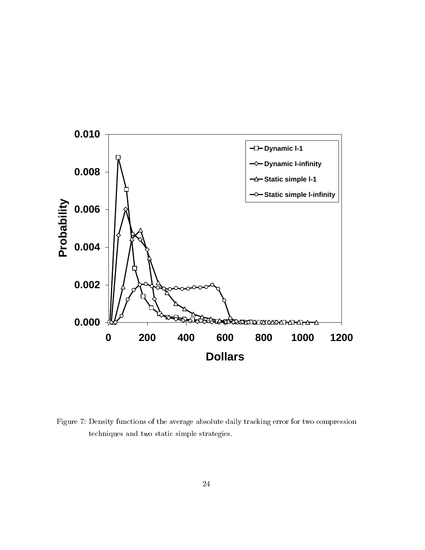

Figure 7: Density functions of the average absolute daily tracking error for two compression techniques and two static simple strategies.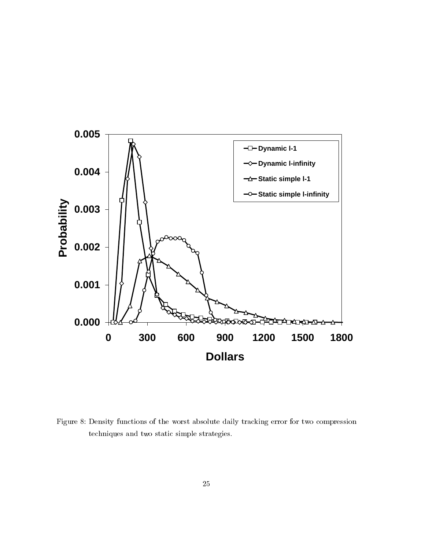

Figure 8: Density functions of the worst absolute daily tracking error for two compression techniques and two static simple strategies.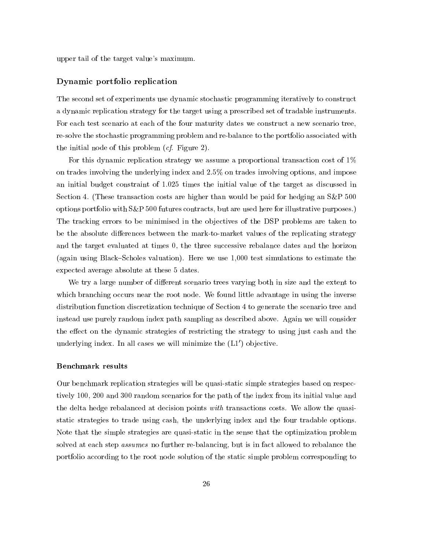upper tail of the target value's maximum.

### Dynamic portfolio replication

The second set of experiments use dynamic stochastic programming iteratively to construct a dynamic replication strategy for the target using a prescribed set of tradable instruments. For each test scenario at each of the four maturity dates we construct a new scenario tree, re-solve the stochastic programming problem and re-balance to the portfolio associated with the initial node of this problem (cf. Figure 2).

For this dynamic replication strategy we assume a proportional transaction cost of 1% on trades involving the underlying index and 2:5% on trades involving options, and impose an initial budget constraint of 1:025 times the initial value of the target as discussed in Section 4. (These transaction costs are higher than would be paid for hedging an S&P 500 options portfolio with S&P 500 futures contracts, but are used here for illustrative purposes.) The tracking errors to be minimised in the objectives of the DSP problems are taken to be the absolute differences between the mark-to-market values of the replicating strategy and the target evaluated attimes 0, the three successive rebalance dates and the horizon (again using Black–Scholes valuation). Here we use  $1,000$  test simulations to estimate the expected average absolute at these 5 dates.

We try a large number of different scenario trees varying both in size and the extent to which branching occurs near the root node. We found little advantage in using the inverse distribution function discretization technique of Section 4 to generate the scenario tree and instead use purely random index path sampling as described above. Again we will consider the effect on the dynamic strategies of restricting the strategy to using just cash and the underlying index. In all cases we will minimize the  $(L1')$  objective.

Our benchmark replication strategies will be quasi-static simple strategies based on respectively 100, 200 and 300 random scenarios for the path of the index from its initial value and the delta hedge rebalanced at decision points with transactions costs. We allow the quasistatic strategies to trade using cash, the underlying index and the four tradable options. Note that the simple strategies are quasi-static in the sense that the optimization problem solved at each step assumes no further re-balancing, but is in fact allowed to rebalance the portfolio according to the root node solution of the static simple problem corresponding to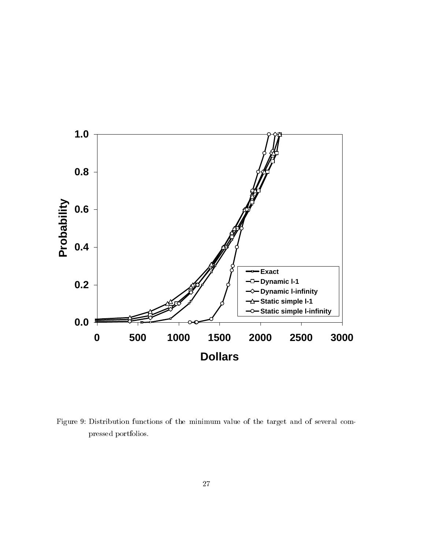

Figure 9: Distribution functions of the minimum value of the target and of several compressed portfolios.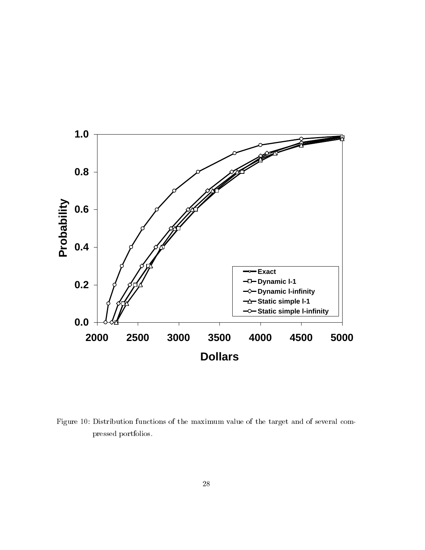

Figure 10: Distribution functions of the maximum value of the target and of several compressed portfolios.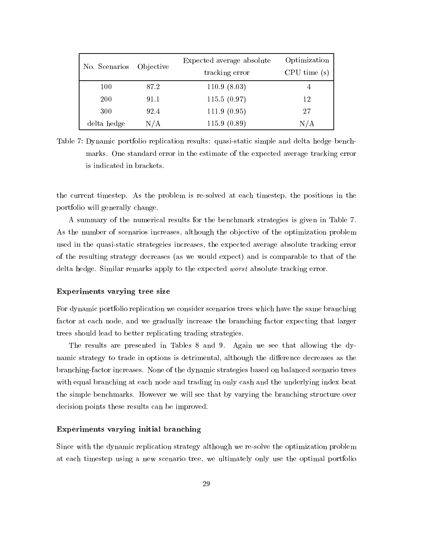| No. Scenarios | Objective | Expected average absolute<br>tracking error | Optimization<br>CPU time(s) |
|---------------|-----------|---------------------------------------------|-----------------------------|
| 100           | 87.2      | 110.9(8.03)                                 |                             |
| <b>200</b>    | 91.1      | 115.5(0.97)                                 | 12                          |
| 300           | 92.4      | 111.9(0.95)                                 | 27                          |
| delta hedge   | N/A       | 115.9(0.89)                                 | N/A                         |

Table 7: Dynamic portfolio replication results: quasi-static simple and delta hedge benchmarks. One standard error in the estimate of the expected average tracking error is indicated in brackets.

the current timestep. As the problem is re-solved at each timestep, the positions in the portfolio will generally change.

A summary of the numerical results for the benchmark strategies is given in Table 7. As the number of scenarios increases, although the objective of the optimization problem used in the quasi-static strategeies increases, the expected average absolute tracking error of the resulting strategy decreases (as we would expect) and is comparable to that of the delta hedge. Similar remarks apply to the expected *worst* absolute tracking error.

### Experiments varying tree size

For dynamic portfolio replication we consider scenarios trees which have the same branching factor at each node, and we gradually increase the branching factor expecting that larger trees should lead to better replicating trading strategies.

The results are presented in Tables 8 and 9. Again we see that allowing the dynamic strategy to trade in options is detrimental, although the difference decreases as the branching-factor increases. None of the dynamic strategies based on balanced scenario trees with equal branching at each node and trading in only cash and the underlying index beat the simple benchmarks. However we will see that by varying the branching structure over decision points these results can be improved.

### Experiments varying initial branching

Since with the dynamic replication strategy although we re-solve the optimization problem at each timestep using a new scenario tree, we ultimately only use the optimal portfolio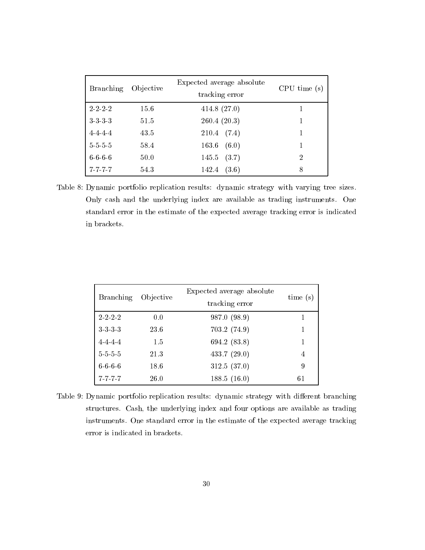| <b>Branching</b> | Objective | Expected average absolute<br>tracking error | CPU time(s) |
|------------------|-----------|---------------------------------------------|-------------|
| 2222             | 15.6      | 414.8 $(27.0)$                              |             |
| $3-3-3-3$        | 51.5      | 260.4(20.3)                                 |             |
| 4444             | 43.5      | $210.4 \quad (7.4)$                         |             |
| $5 - 5 - 5 - 5$  | 58.4      | (6.0)<br>163.6                              |             |
| $6 - 6 - 6 - 6$  | 50.0      | (3.7)<br>145.5                              | 2           |
| $7 - 7 - 7 - 7$  | 54.3      | (3.6)<br>142.4                              | 8           |

Table 8: Dynamic portfolio replication results: dynamic strategy with varying tree sizes. Only cash and the underlying index are available as trading instruments. One standard error in the estimate of the expected average tracking error is indicated in brackets.

| <b>Branching</b> | Objective | Expected average absolute<br>tracking error | time(s) |
|------------------|-----------|---------------------------------------------|---------|
| $2 \t2 \t2 \t2$  | $0.0\,$   | 987.0 (98.9)                                | 1       |
| 3333             | 23.6      | 703.2(74.9)                                 | 1       |
| $4 - 4 - 4 - 4$  | 1.5       | 694.2 (83.8)                                | 1       |
| $5 - 5 - 5 - 5$  | 21.3      | 433.7 (29.0)                                | 4       |
| $6 - 6 - 6 - 6$  | 18.6      | 312.5 (37.0)                                | 9       |
| $7 - 7 - 7 - 7$  | 26.0      | 188.5(16.0)                                 | 61      |

Table 9: Dynamic portfolio replication results: dynamic strategy with different branching structures. Cash, the underlying index and four options are available as trading instruments. One standard error in the estimate of the expected average tracking error is indicated in brackets.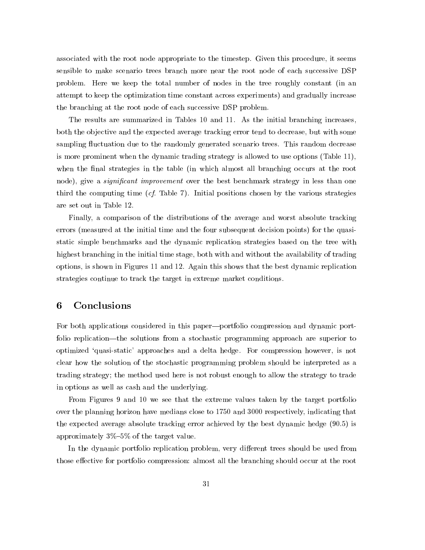associated with the root node appropriate to the timestep. Given this procedure, it seems sensible to make scenario trees branch more near the root node of each successive DSP problem. Here we keep the total number of nodes in the tree roughly constant (in an attempt to keep the optimization time constant across experiments) and gradually increase the branching at the root node of each successive DSP problem.

The results are summarized in Tables 10 and 11. As the initial branching increases, both the objective and the expected average tracking error tend to decrease, but with some sampling fluctuation due to the randomly generated scenario trees. This random decrease is more prominent when the dynamic trading strategy is allowed to use options (Table 11), when the final strategies in the table (in which almost all branching occurs at the root node), give a *significant improvement* over the best benchmark strategy in less than one third the computing time  $(cf.$  Table 7). Initial positions chosen by the various strategies are set out in Table 12.

Finally, a comparison of the distributions of the average and worst absolute tracking errors (measured at the initial time and the four subsequent decision points) for the quasistatic simple benchmarks and the dynamic replication strategies based on the tree with highest branching in the initial time stage, both with and without the availability of trading options, is shown in Figures 11 and 12. Again this shows that the best dynamic replication strategies continue to track the target in extreme market conditions.

## 6 Conclusions

For both applications considered in this paper—portfolio compression and dynamic portfolio replication—the solutions from a stochastic programming approach are superior to optimized `quasi-static' approaches and a delta hedge. For compression however, is not clear how the solution of the stochastic programming problem should be interpreted as a trading strategy; the method used here is not robust enough to allow the strategy to trade in options as well as cash and the underlying.

From Figures 9 and 10 we see that the extreme values taken by the target portfolio over the planning horizon have medians close to 1750 and 3000 respectively, indicating that the expected average absolute tracking error achieved by the best dynamic hedge (90:5) is approximately  $3\% - 5\%$  of the target value.

In the dynamic portfolio replication problem, very different trees should be used from those effective for portfolio compression: almost all the branching should occur at the root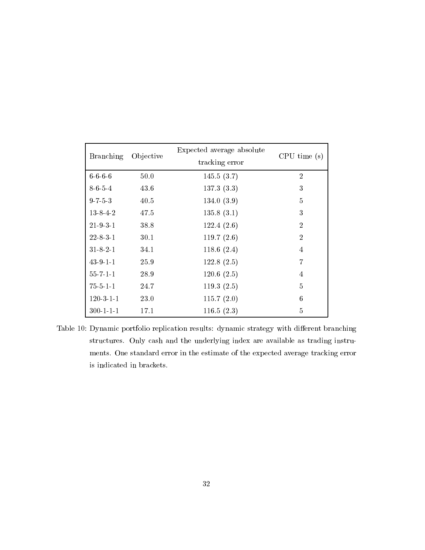| <b>Branching</b>  | Objective | Expected average absolute<br>tracking error | CPU time(s)      |
|-------------------|-----------|---------------------------------------------|------------------|
| $6 - 6 - 6 - 6$   | 50.0      | 145.5(3.7)                                  | $\overline{2}$   |
| $8-6-5-4$         | 43.6      | 137.3(3.3)                                  | 3                |
| 9.753             | 40.5      | 134.0(3.9)                                  | $\overline{5}$   |
| $13-8-4-2$        | 47.5      | 135.8(3.1)                                  | 3                |
| $21-9-3-1$        | 38.8      | 122.4(2.6)                                  | $\overline{2}$   |
| $22 - 8 - 3 - 1$  | 30.1      | 119.7(2.6)                                  | $\overline{2}$   |
| $31-8-2-1$        | 34.1      | 118.6 $(2.4)$                               | $\overline{4}$   |
| $43-9-1-1$        | 25.9      | 122.8(2.5)                                  | 7                |
| $55 - 7 - 1 - 1$  | 28.9      | 120.6(2.5)                                  | 4                |
| $75 - 5 - 1 - 1$  | 24.7      | 119.3(2.5)                                  | $\bf 5$          |
| $120-3-1-1$       | 23.0      | 115.7(2.0)                                  | $\boldsymbol{6}$ |
| $300 - 1 - 1 - 1$ | 17.1      | 116.5(2.3)                                  | $\overline{5}$   |

Table 10: Dynamic portfolio replication results: dynamic strategy with different branching structures. Only cash and the underlying index are available as trading instruments. One standard error in the estimate of the expected average tracking error is indicated in brackets.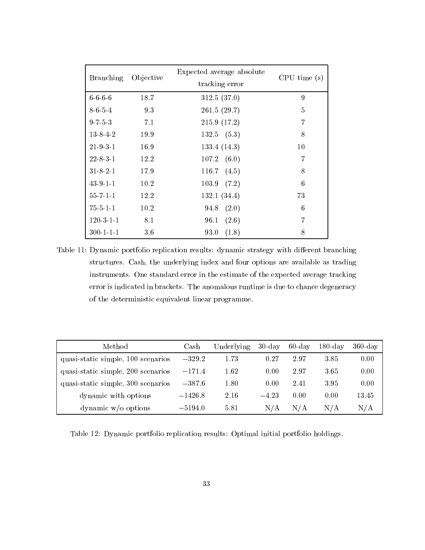| <b>Branching</b>  | Objective | Expected average absolute<br>tracking error | CPU time(s)    |
|-------------------|-----------|---------------------------------------------|----------------|
| $6 - 6 - 6 - 6$   | 18.7      | 312.5(37.0)                                 | 9              |
| $8 - 6 - 5 - 4$   | 9.3       | 261.5(29.7)                                 | $\overline{5}$ |
| 9.753             | 7.1       | 215.9(17.2)                                 | 7              |
| $13-8-4-2$        | 19.9      | $132.5 \quad (5.3)$                         | 8              |
| $21-9-3-1$        | 16.9      | 133.4(14.3)                                 | 10             |
| $22 - 8 - 3 - 1$  | 12.2      | $107.2 \quad (6.0)$                         | 7              |
| $31-8-2-1$        | 17.9      | 116.7 $(4.5)$                               | 8              |
| $43 - 9 - 1 - 1$  | 10.2      | $103.9$ $(7.2)$                             | 6              |
| $55 - 7 - 1 - 1$  | 12.2      | 132.1(34.4)                                 | 73             |
| $75 - 5 - 1 - 1$  | 10.2      | $94.8$ $(2.0)$                              | 6              |
| $120-3-1-1$       | 8.1       | (2.6)<br>96.1                               | 7              |
| $300 - 1 - 1 - 1$ | 3.6       | (1.8)<br>93.0                               | 8              |

Table 11: Dynamic portfolio replication results: dynamic strategy with different branching structures. Cash, the underlying index and four options are available as trading instruments. One standard error in the estimate of the expected average tracking error is indicated in brackets. The anomalous runtime is due to chance degeneracy of the deterministic equivalent linear programme.

| Method                             | $\operatorname{Cash}$ | Underlying | $30$ -day | $60$ -day | $180$ -dav | $360$ -day |
|------------------------------------|-----------------------|------------|-----------|-----------|------------|------------|
| quasi-static simple, 100 scenarios | $-329.2$              | 1.73       | 0.27      | 2.97      | 3.85       | 0.00       |
| quasi-static simple, 200 scenarios | $-171.4$              | 1.62       | 0.00      | 2.97      | 3.65       | 0.00       |
| quasi-static simple, 300 scenarios | $-387.6$              | $1.80\,$   | 0.00      | 2.41      | 3.95       | 0.00       |
| dynamic with options               | $-1426.8$             | 2.16       | $-4.23$   | 0.00      | 0.00       | 13.45      |
| dynamic $w/o$ options              | $-5194.0$             | 5.81       | N/A       | N/A       | N/A        | N/A        |

Table 12: Dynamic portfolio replication results: Optimal initial portfolio holdings.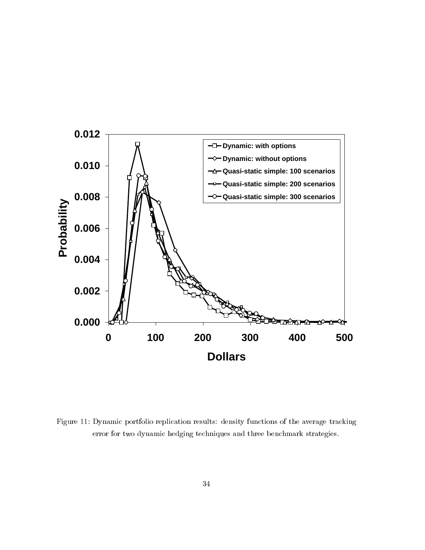

Figure 11: Dynamic portfolio replication results: density functions of the average tracking error for two dynamic hedging techniques and three benchmark strategies.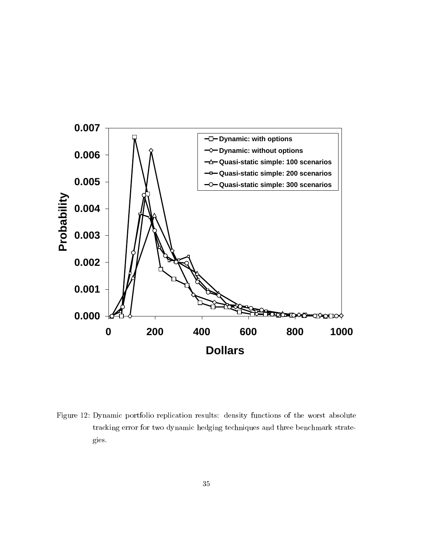

Figure 12: Dynamic portfolio replication results: density functions of the worst absolute tracking error for two dynamic hedging techniques and three benchmark strategies.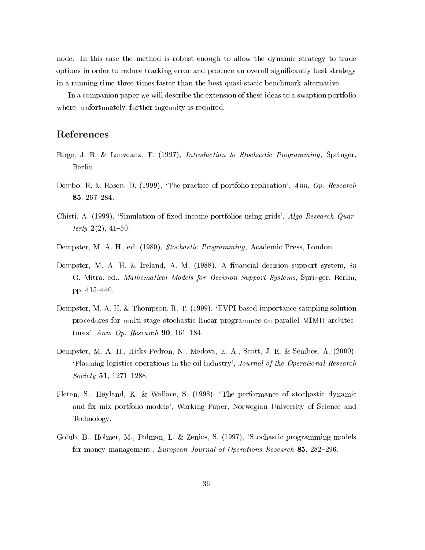node. In this case the method is robust enough to allow the dynamic strategy to trade options in order to reduce tracking error and produce an overall signicantly best strategy in a running time three times faster than the best quasi-static benchmark alternative.

In a companion paper we will describe the extension of these ideas to a swaption portfolio where, unfortunately, further ingenuity is required.

## References

- Birge, J. R. & Louveaux, F. (1997), *Introduction to Stochastic Programming*, Springer, Berlin.
- Dembo, R. & Rosen, D. (1999), 'The practice of portfolio replication', Ann. Op. Research 85, 267-284.
- Chisti, A. (1999), 'Simulation of fixed-income portfolios using grids', Algo Research Quarterly  $2(2)$ , 41-50.
- Dempster, M. A. H., ed. (1980), Stochastic Programming, Academic Press, London.
- Dempster, M. A. H. & Ireland, A. M.  $(1988)$ , A financial decision support system, in G. Mitra, ed., Mathematical Models for Decision Support Systems, Springer, Berlin, pp. 415-440.
- Dempster, M. A. H. & Thompson, R. T. (1999), 'EVPI-based importance sampling solution procedures for multi-stage stochastic linear programmes on parallel MIMD architectures', Ann. Op. Research  $90, 161-184$ .
- Dempster, M. A. H., Hicks-Pedron, N., Medova, E. A., Scott, J. E. & Sembos, A. (2000), `Planning logistics operations in the oil industry', Journal of the Operational Research  $Society$  51, 1271-1288.
- Fleten, S., Hyland, K. & Wallace, S. (1998), `The performance of stochastic dynamic and fix mix portfolio models', Working Paper, Norwegian University of Science and Technology.
- Golub, B., Holmer, M., Polman, L. & Zenios, S. (1997), `Stochastic programming models for money management', European Journal of Operations Research 85, 282–296.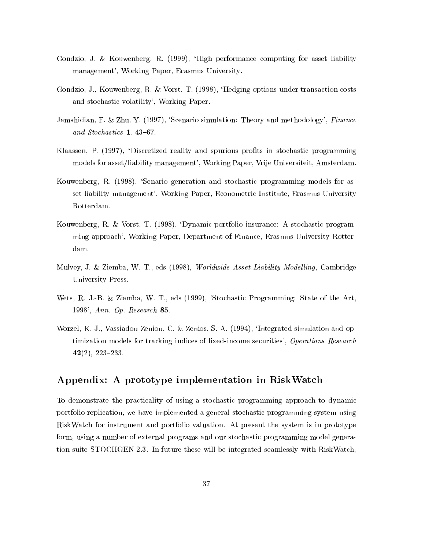- Gondzio, J. & Kouwenberg, R. (1999), 'High performance computing for asset liability management', Working Paper, Erasmus University.
- Gondzio, J., Kouwenberg, R. & Vorst, T. (1998), 'Hedging options under transaction costs and stochastic volatility', Working Paper.
- Jamshidian, F. & Zhu, Y. (1997), 'Scenario simulation: Theory and methodology', Finance and Stochastics 1,  $43-67$ .
- Klaassen, P. (1997), 'Discretized reality and spurious profits in stochastic programming models for asset/liability management', Working Paper, Vrije Universiteit, Amsterdam.
- Kouwenberg, R. (1998), `Senario generation and stochastic programming models for asset liability management', Working Paper, Econometric Institute, Erasmus University Rotterdam.
- Kouwenberg, R. & Vorst, T. (1998), `Dynamic portfolio insurance: A stochastic programming approach', Working Paper, Department of Finance, Erasmus University Rotterdam.
- Mulvey, J. & Ziemba, W. T., eds (1998), Worldwide Asset Liability Modelling, Cambridge University Press.
- Wets, R. J.-B. & Ziemba, W. T., eds (1999), 'Stochastic Programming: State of the Art, 1998', Ann. Op. Research 85.
- Worzel, K. J., Vassiadou-Zeniou, C. & Zenios, S. A. (1994), 'Integrated simulation and optimization models for tracking indices of fixed-income securities', Operations Research  $42(2)$ , 223-233.

## Appendix: A prototype implementation in RiskWatch

To demonstrate the practicality of using a stochastic programming approach to dynamic portfolio replication, we have implemented a general stochastic programming system using RiskWatch for instrument and portfolio valuation. At present the system is in prototype form, using a number of external programs and our stochastic programming model generation suite STOCHGEN 2.3. In future these will be integrated seamlessly with RiskWatch,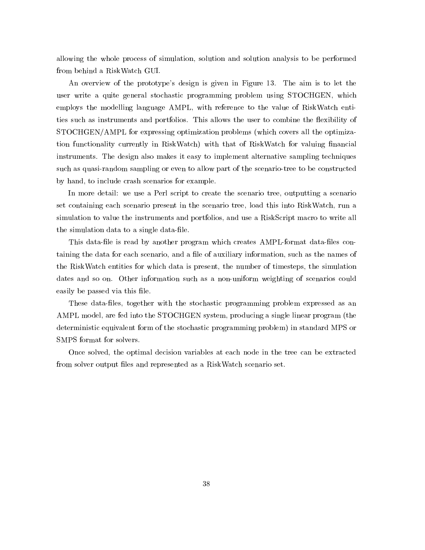allowing the whole process of simulation, solution and solution analysis to be performed from behind a RiskWatch GUI.

An overview of the prototype's design is given in Figure 13. The aim is tolet the user write a quite general stochastic programming problem using STOCHGEN, which employs the modelling language AMPL, with reference to the value of RiskWatch entities such as instruments and portfolios. This allows the user to combine the flexibility of STOCHGEN/AMPL for expressing optimization problems (which covers all the optimization functionality currently in RiskWatch) with that of RiskWatch for valuing financial instruments. The design also makes it easy to implement alternative sampling techniques such as quasi-random sampling or even to allow part of the scenario-tree to be constructed by hand, to include crash scenarios for example.

In more detail: we use a Perl script to create the scenario tree, outputting a scenario set containing each scenario present in the scenario tree, load this into RiskWatch, run a simulation to value the instruments and portfolios, and use a RiskScript macro to write all the simulation data to a single data-file.

This data-file is read by another program which creates AMPL-format data-files containing the data for each scenario, and a file of auxiliary information, such as the names of the RiskWatch entities for which data is present, the number of timesteps, the simulation dates and so on. Other information such as a non-uniform weighting of scenarios could easily be passed via this file.

These data-files, together with the stochastic programming problem expressed as an AMPL model, are fed into the STOCHGEN system, producing a single linear program (the deterministic equivalent form of the stochastic programming problem) in standard MPS or SMPS format for solvers.

Once solved, the optimal decision variables at each node in the tree can be extracted from solver output files and represented as a RiskWatch scenario set.